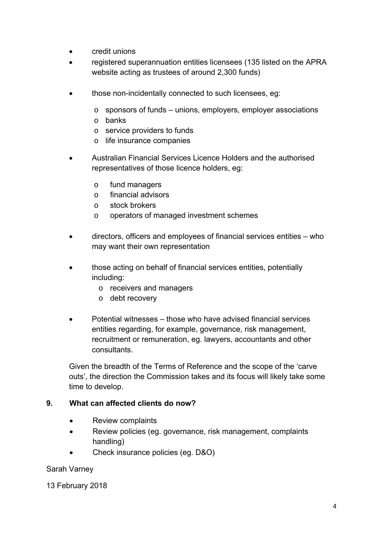- **credit unions**
- registered superannuation entities licensees (135 listed on the APRA website acting as trustees of around 2,300 funds)
- those non-incidentally connected to such licensees, eg:
	- o sponsors of funds unions, employers, employer associations
	- o banks
	- o service providers to funds
	- o life insurance companies
- Australian Financial Services Licence Holders and the authorised representatives of those licence holders, eg:
	- o fund managers
	- o financial advisors
	- o stock brokers
	- o operators of managed investment schemes
- directors, officers and employees of financial services entities who may want their own representation
- those acting on behalf of financial services entities, potentially including:
	- o receivers and managers
	- o debt recovery
- Potential witnesses those who have advised financial services entities regarding, for example, governance, risk management, recruitment or remuneration, eg. lawyers, accountants and other consultants.

Given the breadth of the Terms of Reference and the scope of the 'carve outs', the direction the Commission takes and its focus will likely take some time to develop.

## **9. What can affected clients do now?**

- Review complaints
- Review policies (eg. governance, risk management, complaints handling)
- Check insurance policies (eg. D&O)

## Sarah Varney

13 February 2018